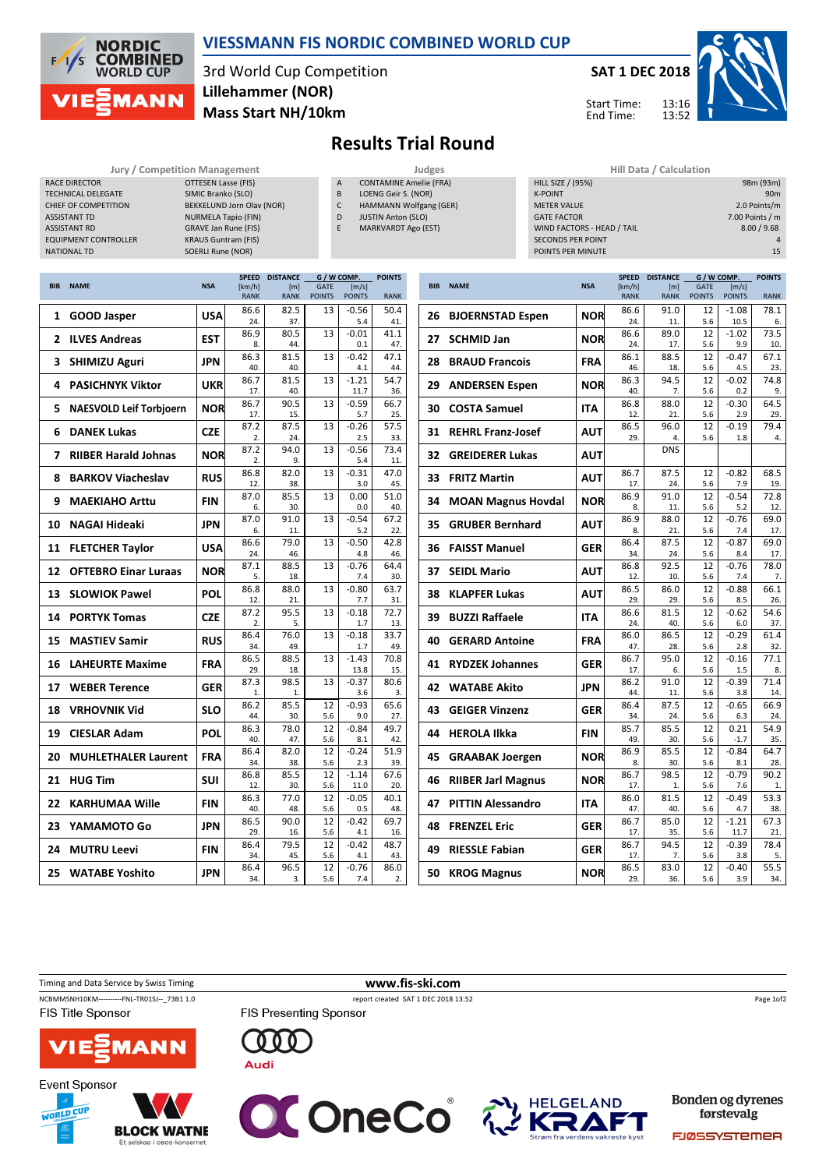

### VIESSMANN FIS NORDIC COMBINED WORLD CUP

3rd World Cup Competition Mass Start NH/10km Lillehammer (NOR)



13:16 13:52 Start Time: End Time:



# Results Trial Round

#### Jury / Competition Management Judges<br>OTTESEN Lasse (FIS) A CONTAMINE Amelie (FR, RACE DIRECTOR **OTTESEN Lasse (FIS)** TECHNICAL DELEGATE SIMIC Branko (SLO) CHIEF OF COMPETITION BEKKELUND Jorn Olav (NOR) ASSISTANT TD NURMELA Tapio (FIN) ASSISTANT RD GRAVE Jan Rune (FIS) EQUIPMENT CONTROLLER KRAUS Guntram (FIS) NATIONAL TD SOERLI Rune (NOR)

CONTAMINE Amelie (FRA)

- B LOENG Geir S. (NOR)
- C HAMMANN Wolfgang (GER) D JUSTIN Anton (SLO)
- E MARKVARDT Ago (EST)

| Hill Data / Calculation    |                 |
|----------------------------|-----------------|
| <b>HILL SIZE / (95%)</b>   | 98m (93m)       |
| <b>K-POINT</b>             | 90 <sub>m</sub> |
| <b>METER VALUE</b>         | 2.0 Points/m    |
| <b>GATE FACTOR</b>         | 7.00 Points / m |
| WIND FACTORS - HEAD / TAIL | 8.00 / 9.68     |
| <b>SECONDS PER POINT</b>   | $\Delta$        |
| POINTS PER MINUTE          | 15              |
|                            |                 |

|                |                                |            | <b>SPEED</b>          | <b>DISTANCE</b>    | G / W COMP.                  |                        | <b>POINTS</b> |
|----------------|--------------------------------|------------|-----------------------|--------------------|------------------------------|------------------------|---------------|
| <b>BIB</b>     | <b>NAME</b>                    | <b>NSA</b> | [km/h]<br><b>RANK</b> | [m]<br><b>RANK</b> | <b>GATE</b><br><b>POINTS</b> | [m/s]<br><b>POINTS</b> | <b>RANK</b>   |
|                |                                |            | 86.6                  | 82.5               | 13                           | $-0.56$                | 50.4          |
| 1              | <b>GOOD Jasper</b>             | <b>USA</b> | 24.                   | 37.                |                              | 5.4                    | 41.           |
| $\overline{2}$ | <b>ILVES Andreas</b>           | <b>EST</b> | 86.9                  | 80.5               | 13                           | $-0.01$                | 41.1          |
|                |                                |            | 8.                    | 44.                |                              | 0.1                    | 47.           |
| 3              | <b>SHIMIZU Aguri</b>           | JPN        | 86.3<br>40.           | 81.5<br>40.        | 13                           | $-0.42$<br>4.1         | 47.1<br>44.   |
|                |                                |            | 86.7                  | 81.5               | 13                           | $-1.21$                | 54.7          |
| 4              | <b>PASICHNYK Viktor</b>        | <b>UKR</b> | 17.                   | 40.                |                              | 11.7                   | 36.           |
| 5              | <b>NAESVOLD Leif Torbjoern</b> | <b>NOR</b> | 86.7                  | 90.5               | 13                           | $-0.59$                | 66.7          |
|                |                                |            | 17.                   | 15.                |                              | 5.7                    | 25.           |
| 6              | <b>DANEK Lukas</b>             | <b>CZE</b> | 87.2<br>2.            | 87.5<br>24.        | 13                           | $-0.26$<br>2.5         | 57.5<br>33.   |
|                |                                |            | 87.2                  | 94.0               | 13                           | $-0.56$                | 73.4          |
| 7              | <b>RIIBER Harald Johnas</b>    | <b>NOR</b> | 2.                    | 9.                 |                              | 5.4                    | 11.           |
| 8              | <b>BARKOV Viacheslav</b>       | <b>RUS</b> | 86.8                  | 82.0               | 13                           | $-0.31$                | 47.0          |
|                |                                |            | 12.                   | 38.                |                              | 3.0                    | 45.           |
| 9              | <b>MAEKIAHO Arttu</b>          | <b>FIN</b> | 87.0                  | 85.5               | 13                           | 0.00                   | 51.0          |
|                |                                |            | 6.<br>87.0            | 30.<br>91.0        | 13                           | 0.0<br>$-0.54$         | 40.<br>67.2   |
| 10             | <b>NAGAI Hideaki</b>           | <b>JPN</b> | 6.                    | 11.                |                              | 5.2                    | 22.           |
|                |                                |            | 86.6                  | 79.0               | 13                           | $-0.50$                | 42.8          |
| 11             | <b>FLETCHER Taylor</b>         | <b>USA</b> | 24.                   | 46.                |                              | 4.8                    | 46.           |
| 12             | <b>OFTEBRO Einar Luraas</b>    | <b>NOR</b> | 87.1                  | 88.5               | 13                           | $-0.76$                | 64.4          |
|                |                                |            | 5.                    | 18.                |                              | 7.4                    | 30.           |
| 13             | <b>SLOWIOK Pawel</b>           | <b>POL</b> | 86.8<br>12.           | 88.0<br>21.        | 13                           | $-0.80$<br>7.7         | 63.7<br>31.   |
|                |                                |            | 87.2                  | 95.5               | 13                           | $-0.18$                | 72.7          |
| 14             | <b>PORTYK Tomas</b>            | <b>CZE</b> | 2.                    | 5.                 |                              | 1.7                    | 13.           |
| 15             | <b>MASTIEV Samir</b>           | <b>RUS</b> | 86.4                  | 76.0               | 13                           | $-0.18$                | 33.7          |
|                |                                |            | 34.                   | 49.                |                              | 1.7                    | 49.           |
| 16             | <b>LAHEURTE Maxime</b>         | <b>FRA</b> | 86.5<br>29.           | 88.5<br>18.        | 13                           | $-1.43$<br>13.8        | 70.8<br>15.   |
|                |                                |            | 87.3                  | 98.5               | 13                           | $-0.37$                | 80.6          |
| 17             | <b>WEBER Terence</b>           | GER        | 1.                    | 1.                 |                              | 3.6                    | 3.            |
| 18             | <b>VRHOVNIK Vid</b>            | <b>SLO</b> | 86.2                  | 85.5               | 12                           | $-0.93$                | 65.6          |
|                |                                |            | 44.                   | 30.                | 5.6                          | 9.0                    | 27.           |
| 19             | <b>CIESLAR Adam</b>            | <b>POL</b> | 86.3<br>40.           | 78.0<br>47.        | 12<br>5.6                    | $-0.84$<br>8.1         | 49.7<br>42.   |
|                |                                |            | 86.4                  | 82.0               | 12                           | $-0.24$                | 51.9          |
| 20             | <b>MUHLETHALER Laurent</b>     | <b>FRA</b> | 34.                   | 38.                | 5.6                          | 2.3                    | 39.           |
| 21             | <b>HUG Tim</b>                 | <b>SUI</b> | 86.8                  | 85.5               | 12                           | $-1.14$                | 67.6          |
|                |                                |            | 12.                   | 30.                | 5.6                          | 11.0                   | 20.           |
| 22             | <b>KARHUMAA Wille</b>          | <b>FIN</b> | 86.3<br>40.           | 77.0<br>48.        | 12<br>5.6                    | $-0.05$<br>0.5         | 40.1<br>48.   |
|                |                                |            | 86.5                  | 90.0               | 12                           | $-0.42$                | 69.7          |
| 23             | YAMAMOTO Go                    | <b>JPN</b> | 29.                   | 16.                | 5.6                          | 4.1                    | 16.           |
| 24             | <b>MUTRU Leevi</b>             | <b>FIN</b> | 86.4                  | 79.5               | 12                           | $-0.42$                | 48.7          |
|                |                                |            | 34.                   | 45.                | 5.6                          | 4.1                    | 43.           |
| 25             | <b>WATABE Yoshito</b>          | <b>JPN</b> | 86.4<br>34.           | 96.5<br>3.         | 12<br>5.6                    | $-0.76$<br>7.4         | 86.0<br>2.    |
|                |                                |            |                       |                    |                              |                        |               |

|            |                           |            | <b>SPEED</b>          | <b>DISTANCE</b>    | G / W COMP.                  | <b>POINTS</b>          |             |
|------------|---------------------------|------------|-----------------------|--------------------|------------------------------|------------------------|-------------|
| <b>BIB</b> | <b>NAME</b>               | <b>NSA</b> | [km/h]<br><b>RANK</b> | [m]<br><b>RANK</b> | <b>GATE</b><br><b>POINTS</b> | [m/s]<br><b>POINTS</b> | <b>RANK</b> |
| 26         | <b>BJOERNSTAD Espen</b>   | <b>NOR</b> | 86.6                  | 91.0<br>11.        | 12<br>5.6                    | $-1.08$<br>10.5        | 78.1        |
|            |                           |            | 24.<br>86.6           | 89.0               | 12                           | $-1.02$                | 6.<br>73.5  |
| 27         | <b>SCHMID Jan</b>         | <b>NOR</b> | 24.                   | 17.                | 5.6                          | 9.9                    | 10.         |
| 28         | <b>BRAUD Francois</b>     | <b>FRA</b> | 86.1                  | 88.5               | 12                           | $-0.47$                | 67.1        |
|            |                           |            | 46.                   | 18.                | 5.6                          | 4.5                    | 23.         |
| 29         | <b>ANDERSEN Espen</b>     | <b>NOR</b> | 86.3<br>40.           | 94.5<br>7.         | 12<br>5.6                    | $-0.02$<br>0.2         | 74.8<br>9.  |
| 30         | <b>COSTA Samuel</b>       | <b>ITA</b> | 86.8<br>12.           | 88.0<br>21.        | 12<br>5.6                    | $-0.30$<br>2.9         | 64.5<br>29. |
|            |                           |            | 86.5                  | 96.0               | 12                           | $-0.19$                | 79.4        |
| 31         | <b>REHRL Franz-Josef</b>  | <b>AUT</b> | 29.                   | 4.                 | 5.6                          | 1.8                    | 4.          |
| 32         | <b>GREIDERER Lukas</b>    | <b>AUT</b> |                       | <b>DNS</b>         |                              |                        |             |
| 33         | <b>FRITZ Martin</b>       | <b>AUT</b> | 86.7                  | 87.5               | 12                           | $-0.82$                | 68.5        |
|            |                           |            | 17.                   | 24.                | 5.6                          | 7.9                    | 19.         |
| 34         | <b>MOAN Magnus Hovdal</b> | <b>NOR</b> | 86.9<br>8.            | 91.0<br>11.        | 12<br>5.6                    | $-0.54$<br>5.2         | 72.8<br>12. |
|            |                           |            | 86.9                  | 88.0               | 12                           | $-0.76$                | 69.0        |
| 35         | <b>GRUBER Bernhard</b>    | <b>AUT</b> | 8.                    | 21.                | 5.6                          | 7.4                    | 17.         |
| 36         | <b>FAISST Manuel</b>      | <b>GER</b> | 86.4                  | 87.5               | 12                           | $-0.87$                | 69.0        |
|            |                           |            | 34.                   | 24.                | 5.6                          | 8.4                    | 17.         |
| 37         | <b>SEIDL Mario</b>        | <b>AUT</b> | 86.8<br>12.           | 92.5<br>10.        | 12<br>5.6                    | $-0.76$<br>7.4         | 78.0<br>7.  |
|            |                           |            | 86.5                  | 86.0               | 12                           | $-0.88$                | 66.1        |
| 38         | <b>KLAPFER Lukas</b>      | <b>AUT</b> | 29.                   | 29.                | 5.6                          | 8.5                    | 26.         |
| 39         | <b>BUZZI Raffaele</b>     | <b>ITA</b> | 86.6                  | 81.5               | 12                           | $-0.62$                | 54.6        |
|            |                           |            | 24.                   | 40.                | 5.6                          | 6.0                    | 37.         |
| 40         | <b>GERARD Antoine</b>     | <b>FRA</b> | 86.0<br>47.           | 86.5<br>28.        | 12<br>5.6                    | $-0.29$<br>2.8         | 61.4<br>32. |
| 41         | <b>RYDZEK Johannes</b>    | <b>GER</b> | 86.7                  | 95.0               | 12                           | $-0.16$                | 77.1        |
|            |                           |            | 17.                   | 6.                 | 5.6                          | 1.5                    | 8.          |
| 42         | <b>WATABE Akito</b>       | <b>JPN</b> | 86.2<br>44.           | 91.0<br>11.        | 12<br>5.6                    | $-0.39$<br>3.8         | 71.4<br>14. |
|            |                           |            | 86.4                  | 87.5               | 12                           | $-0.65$                | 66.9        |
| 43         | <b>GEIGER Vinzenz</b>     | <b>GER</b> | 34.                   | 24.                | 5.6                          | 6.3                    | 24.         |
| 44         | <b>HEROLA Ilkka</b>       | <b>FIN</b> | 85.7                  | 85.5               | 12                           | 0.21                   | 54.9        |
|            |                           |            | 49.                   | 30.                | 5.6                          | $-1.7$                 | 35.         |
| 45         | <b>GRAABAK Joergen</b>    | NOR        | 86.9                  | 85.5<br>30.        | 12<br>5.6                    | $-0.84$                | 64.7<br>28. |
|            |                           |            | 8.<br>86.7            | 98.5               | 12                           | 8.1<br>$-0.79$         | 90.2        |
| 46         | <b>RIIBER Jarl Magnus</b> | <b>NOR</b> | 17.                   | 1.                 | 5.6                          | 7.6                    | 1.          |
| 47         | <b>PITTIN Alessandro</b>  | <b>ITA</b> | 86.0                  | 81.5               | 12                           | $-0.49$                | 53.3        |
|            |                           |            | 47.                   | 40.                | 5.6                          | 4.7                    | 38.         |
| 48         | <b>FRENZEL Eric</b>       | <b>GER</b> | 86.7<br>17.           | 85.0<br>35.        | 12<br>5.6                    | $-1.21$<br>11.7        | 67.3<br>21. |
|            |                           |            | 86.7                  | 94.5               | 12                           | $-0.39$                | 78.4        |
| 49         | <b>RIESSLE Fabian</b>     | <b>GER</b> | 17.                   | 7.                 | 5.6                          | 3.8                    | 5.          |
| 50         |                           | <b>NOR</b> | 86.5                  | 83.0               | 12                           | $-0.40$                | 55.5        |
|            | <b>KROG Magnus</b>        |            | 29.                   | 36.                | 5.6                          | 3.9                    | 34.         |